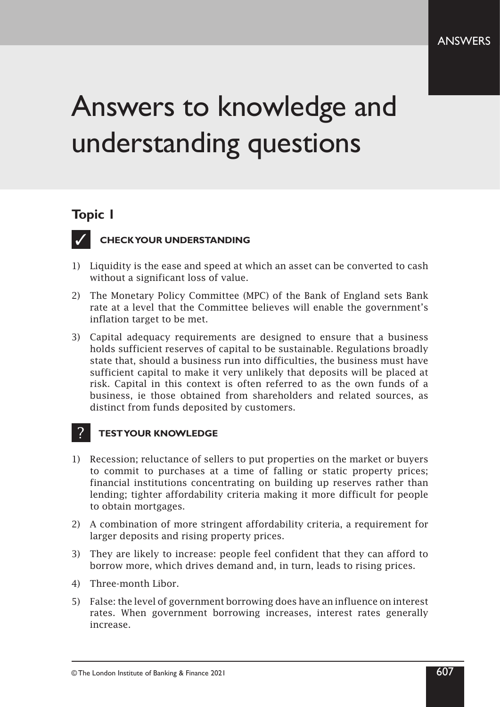# Answers to knowledge and understanding questions

# **Topic 1**



### **CHECK YOUR UNDERSTANDING**

- 1) Liquidity is the ease and speed at which an asset can be converted to cash without a significant loss of value.
- 2) The Monetary Policy Committee (MPC) of the Bank of England sets Bank rate at a level that the Committee believes will enable the government's inflation target to be met.
- 3) Capital adequacy requirements are designed to ensure that a business holds sufficient reserves of capital to be sustainable. Regulations broadly state that, should a business run into difficulties, the business must have sufficient capital to make it very unlikely that deposits will be placed at risk. Capital in this context is often referred to as the own funds of a business, ie those obtained from shareholders and related sources, as distinct from funds deposited by customers.

- 1) Recession; reluctance of sellers to put properties on the market or buyers to commit to purchases at a time of falling or static property prices; financial institutions concentrating on building up reserves rather than lending; tighter affordability criteria making it more difficult for people to obtain mortgages.
- 2) A combination of more stringent affordability criteria, a requirement for larger deposits and rising property prices.
- 3) They are likely to increase: people feel confident that they can afford to borrow more, which drives demand and, in turn, leads to rising prices.
- 4) Three‑month Libor.
- 5) False: the level of government borrowing does have an influence on interest rates. When government borrowing increases, interest rates generally increase.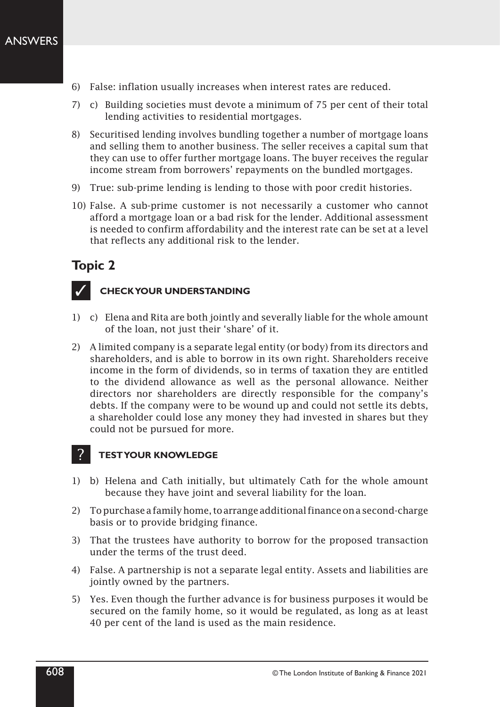- 6) False: inflation usually increases when interest rates are reduced.
- 7) c) Building societies must devote a minimum of 75 per cent of their total lending activities to residential mortgages.
- 8) Securitised lending involves bundling together a number of mortgage loans and selling them to another business. The seller receives a capital sum that they can use to offer further mortgage loans. The buyer receives the regular income stream from borrowers' repayments on the bundled mortgages.
- 9) True: sub-prime lending is lending to those with poor credit histories.
- 10) False. A sub-prime customer is not necessarily a customer who cannot afford a mortgage loan or a bad risk for the lender. Additional assessment is needed to confirm affordability and the interest rate can be set at a level that reflects any additional risk to the lender.



### **CHECK YOUR UNDERSTANDING**

- 1) c) Elena and Rita are both jointly and severally liable for the whole amount of the loan, not just their 'share' of it.
- 2) A limited company is a separate legal entity (or body) from its directors and shareholders, and is able to borrow in its own right. Shareholders receive income in the form of dividends, so in terms of taxation they are entitled to the dividend allowance as well as the personal allowance. Neither directors nor shareholders are directly responsible for the company's debts. If the company were to be wound up and could not settle its debts, a shareholder could lose any money they had invested in shares but they could not be pursued for more.

- 1) b) Helena and Cath initially, but ultimately Cath for the whole amount because they have joint and several liability for the loan.
- 2) To purchase a family home, to arrange additional finance on a second-charge basis or to provide bridging finance.
- 3) That the trustees have authority to borrow for the proposed transaction under the terms of the trust deed.
- 4) False. A partnership is not a separate legal entity. Assets and liabilities are jointly owned by the partners.
- 5) Yes. Even though the further advance is for business purposes it would be secured on the family home, so it would be regulated, as long as at least 40 per cent of the land is used as the main residence.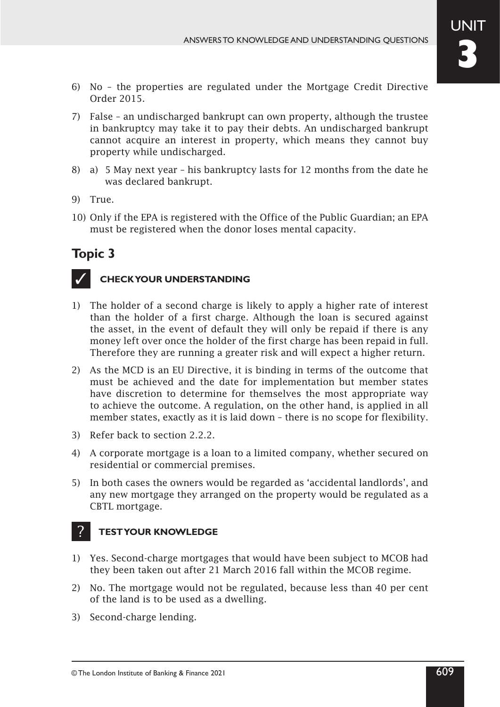- 6) No the properties are regulated under the Mortgage Credit Directive Order 2015.
- 7) False an undischarged bankrupt can own property, although the trustee in bankruptcy may take it to pay their debts. An undischarged bankrupt cannot acquire an interest in property, which means they cannot buy property while undischarged.
- 8) a) 5 May next year his bankruptcy lasts for 12 months from the date he was declared bankrupt.
- 9) True.
- 10) Only if the EPA is registered with the Office of the Public Guardian; an EPA must be registered when the donor loses mental capacity.



### **CHECK YOUR UNDERSTANDING**

- 1) The holder of a second charge is likely to apply a higher rate of interest than the holder of a first charge. Although the loan is secured against the asset, in the event of default they will only be repaid if there is any money left over once the holder of the first charge has been repaid in full. Therefore they are running a greater risk and will expect a higher return.
- 2) As the MCD is an EU Directive, it is binding in terms of the outcome that must be achieved and the date for implementation but member states have discretion to determine for themselves the most appropriate way to achieve the outcome. A regulation, on the other hand, is applied in all member states, exactly as it is laid down – there is no scope for flexibility.
- 3) Refer back to section 2.2.2.
- 4) A corporate mortgage is a loan to a limited company, whether secured on residential or commercial premises.
- 5) In both cases the owners would be regarded as 'accidental landlords', and any new mortgage they arranged on the property would be regulated as a CBTL mortgage.

- 1) Yes. Second‑charge mortgages that would have been subject to MCOB had they been taken out after 21 March 2016 fall within the MCOB regime.
- 2) No. The mortgage would not be regulated, because less than 40 per cent of the land is to be used as a dwelling.
- 3) Second-charge lending.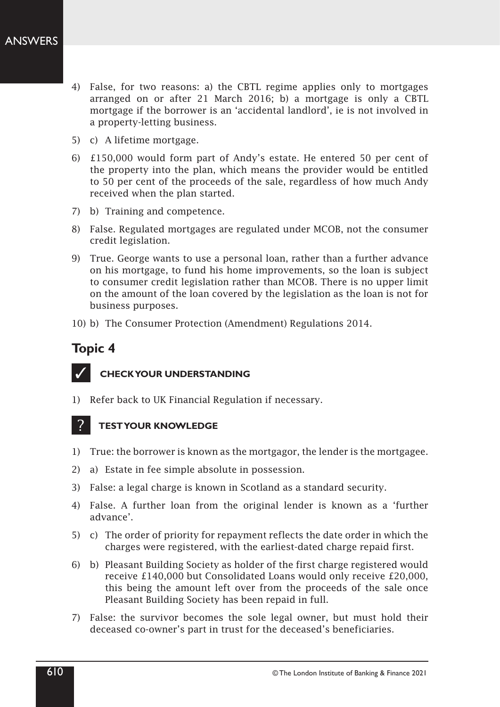- 4) False, for two reasons: a) the CBTL regime applies only to mortgages arranged on or after 21 March 2016; b) a mortgage is only a CBTL mortgage if the borrower is an 'accidental landlord', ie is not involved in a property-letting business.
- 5) c) A lifetime mortgage.
- 6) £150,000 would form part of Andy's estate. He entered 50 per cent of the property into the plan, which means the provider would be entitled to 50 per cent of the proceeds of the sale, regardless of how much Andy received when the plan started.
- 7) b) Training and competence.
- 8) False. Regulated mortgages are regulated under MCOB, not the consumer credit legislation.
- 9) True. George wants to use a personal loan, rather than a further advance on his mortgage, to fund his home improvements, so the loan is subject to consumer credit legislation rather than MCOB. There is no upper limit on the amount of the loan covered by the legislation as the loan is not for business purposes.
- 10) b) The Consumer Protection (Amendment) Regulations 2014.



- 1) Refer back to UK Financial Regulation if necessary.
- **TEST YOUR KNOWLEDGE** ?
- 1) True: the borrower is known as the mortgagor, the lender is the mortgagee.
- 2) a) Estate in fee simple absolute in possession.
- 3) False: a legal charge is known in Scotland as a standard security.
- 4) False. A further loan from the original lender is known as a 'further advance'.
- 5) c) The order of priority for repayment reflects the date order in which the charges were registered, with the earliest‑dated charge repaid first.
- 6) b) Pleasant Building Society as holder of the first charge registered would receive £140,000 but Consolidated Loans would only receive £20,000, this being the amount left over from the proceeds of the sale once Pleasant Building Society has been repaid in full.
- 7) False: the survivor becomes the sole legal owner, but must hold their deceased co‑owner's part in trust for the deceased's beneficiaries.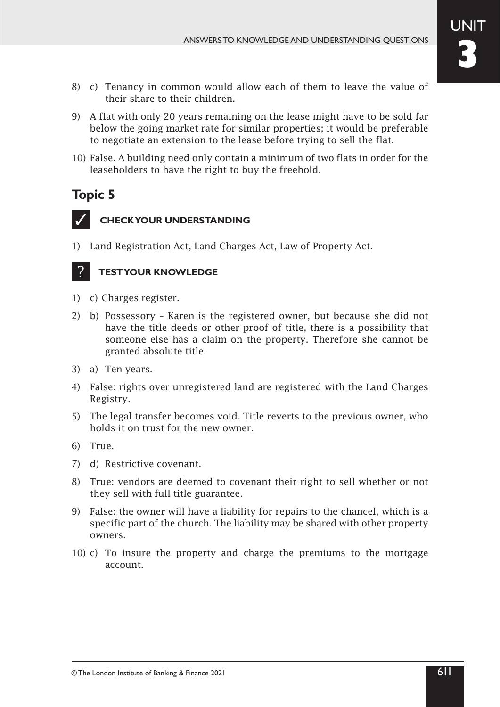- 8) c) Tenancy in common would allow each of them to leave the value of their share to their children.
- 9) A flat with only 20 years remaining on the lease might have to be sold far below the going market rate for similar properties; it would be preferable to negotiate an extension to the lease before trying to sell the flat.
- 10) False. A building need only contain a minimum of two flats in order for the leaseholders to have the right to buy the freehold.



### **CHECK YOUR UNDERSTANDING**

1) Land Registration Act, Land Charges Act, Law of Property Act.

- 1) c) Charges register.
- 2) b) Possessory Karen is the registered owner, but because she did not have the title deeds or other proof of title, there is a possibility that someone else has a claim on the property. Therefore she cannot be granted absolute title.
- 3) a) Ten years.
- 4) False: rights over unregistered land are registered with the Land Charges Registry.
- 5) The legal transfer becomes void. Title reverts to the previous owner, who holds it on trust for the new owner.
- 6) True.
- 7) d) Restrictive covenant.
- 8) True: vendors are deemed to covenant their right to sell whether or not they sell with full title guarantee.
- 9) False: the owner will have a liability for repairs to the chancel, which is a specific part of the church. The liability may be shared with other property owners.
- 10) c) To insure the property and charge the premiums to the mortgage account.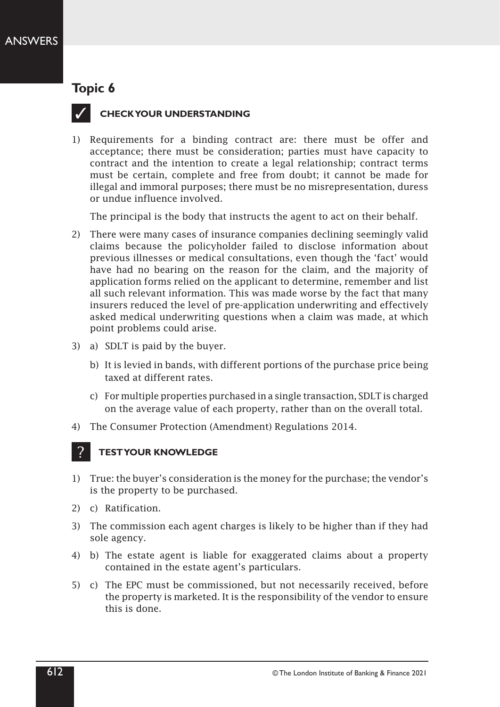

### **CHECK YOUR UNDERSTANDING**

1) Requirements for a binding contract are: there must be offer and acceptance; there must be consideration; parties must have capacity to contract and the intention to create a legal relationship; contract terms must be certain, complete and free from doubt; it cannot be made for illegal and immoral purposes; there must be no misrepresentation, duress or undue influence involved.

The principal is the body that instructs the agent to act on their behalf.

- 2) There were many cases of insurance companies declining seemingly valid claims because the policyholder failed to disclose information about previous illnesses or medical consultations, even though the 'fact' would have had no bearing on the reason for the claim, and the majority of application forms relied on the applicant to determine, remember and list all such relevant information. This was made worse by the fact that many insurers reduced the level of pre‑application underwriting and effectively asked medical underwriting questions when a claim was made, at which point problems could arise.
- 3) a) SDLT is paid by the buyer.
	- b) It is levied in bands, with different portions of the purchase price being taxed at different rates.
	- c) For multiple properties purchased in a single transaction, SDLT is charged on the average value of each property, rather than on the overall total.
- 4) The Consumer Protection (Amendment) Regulations 2014.

- 1) True: the buyer's consideration is the money for the purchase; the vendor's is the property to be purchased.
- 2) c) Ratification.
- 3) The commission each agent charges is likely to be higher than if they had sole agency.
- 4) b) The estate agent is liable for exaggerated claims about a property contained in the estate agent's particulars.
- 5) c) The EPC must be commissioned, but not necessarily received, before the property is marketed. It is the responsibility of the vendor to ensure this is done.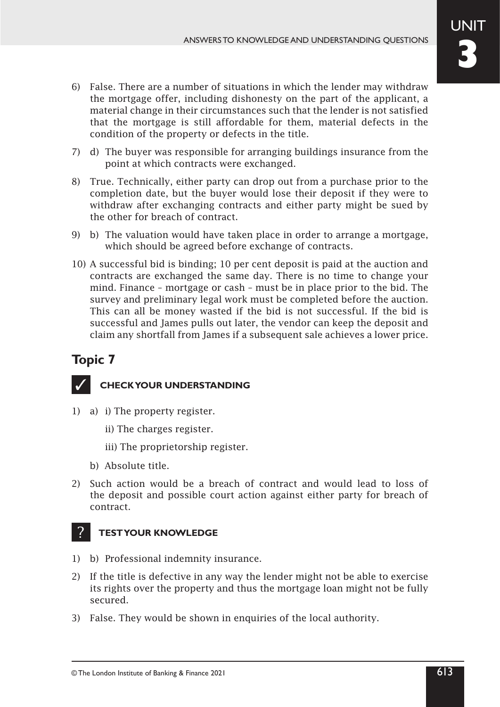- 6) False. There are a number of situations in which the lender may withdraw the mortgage offer, including dishonesty on the part of the applicant, a material change in their circumstances such that the lender is not satisfied that the mortgage is still affordable for them, material defects in the condition of the property or defects in the title.
- 7) d) The buyer was responsible for arranging buildings insurance from the point at which contracts were exchanged.
- 8) True. Technically, either party can drop out from a purchase prior to the completion date, but the buyer would lose their deposit if they were to withdraw after exchanging contracts and either party might be sued by the other for breach of contract.
- 9) b) The valuation would have taken place in order to arrange a mortgage, which should be agreed before exchange of contracts.
- 10) A successful bid is binding; 10 per cent deposit is paid at the auction and contracts are exchanged the same day. There is no time to change your mind. Finance – mortgage or cash – must be in place prior to the bid. The survey and preliminary legal work must be completed before the auction. This can all be money wasted if the bid is not successful. If the bid is successful and James pulls out later, the vendor can keep the deposit and claim any shortfall from James if a subsequent sale achieves a lower price.



### **CHECK YOUR UNDERSTANDING**

- 1) a) i) The property register.
	- ii) The charges register.
	- iii) The proprietorship register.
	- b) Absolute title.
- 2) Such action would be a breach of contract and would lead to loss of the deposit and possible court action against either party for breach of contract.

- 1) b) Professional indemnity insurance.
- 2) If the title is defective in any way the lender might not be able to exercise its rights over the property and thus the mortgage loan might not be fully secured.
- 3) False. They would be shown in enquiries of the local authority.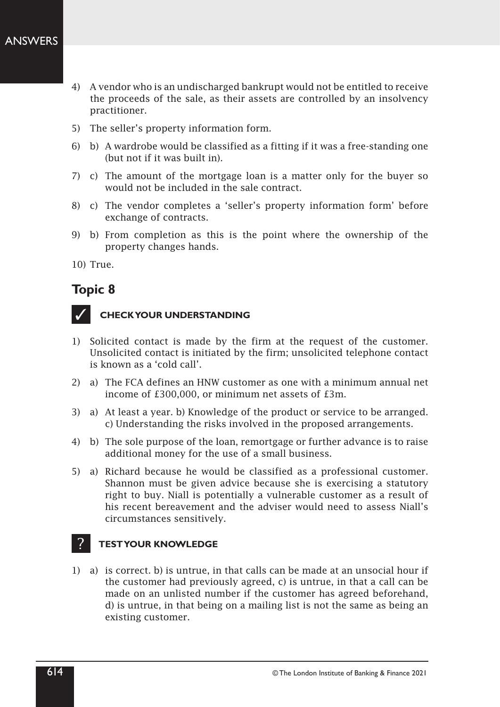- 4) A vendor who is an undischarged bankrupt would not be entitled to receive the proceeds of the sale, as their assets are controlled by an insolvency practitioner.
- 5) The seller's property information form.
- 6) b) A wardrobe would be classified as a fitting if it was a free‑standing one (but not if it was built in).
- 7) c) The amount of the mortgage loan is a matter only for the buyer so would not be included in the sale contract.
- 8) c) The vendor completes a 'seller's property information form' before exchange of contracts.
- 9) b) From completion as this is the point where the ownership of the property changes hands.

10) True.

# **Topic 8**



### **CHECK YOUR UNDERSTANDING**

- 1) Solicited contact is made by the firm at the request of the customer. Unsolicited contact is initiated by the firm; unsolicited telephone contact is known as a 'cold call'.
- 2) a) The FCA defines an HNW customer as one with a minimum annual net income of £300,000, or minimum net assets of £3m.
- 3) a) At least a year. b) Knowledge of the product or service to be arranged. c) Understanding the risks involved in the proposed arrangements.
- 4) b) The sole purpose of the loan, remortgage or further advance is to raise additional money for the use of a small business.
- 5) a) Richard because he would be classified as a professional customer. Shannon must be given advice because she is exercising a statutory right to buy. Niall is potentially a vulnerable customer as a result of his recent bereavement and the adviser would need to assess Niall's circumstances sensitively.

#### **TEST YOUR KNOWLEDGE** ?

1) a) is correct. b) is untrue, in that calls can be made at an unsocial hour if the customer had previously agreed, c) is untrue, in that a call can be made on an unlisted number if the customer has agreed beforehand, d) is untrue, in that being on a mailing list is not the same as being an existing customer.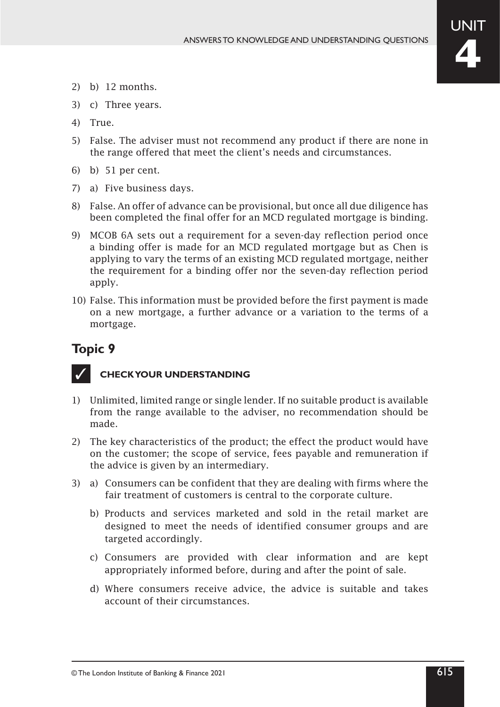- 2) b) 12 months.
- 3) c) Three years.
- 4) True.
- 5) False. The adviser must not recommend any product if there are none in the range offered that meet the client's needs and circumstances.
- 6) b) 51 per cent.
- 7) a) Five business days.
- 8) False. An offer of advance can be provisional, but once all due diligence has been completed the final offer for an MCD regulated mortgage is binding.
- 9) MCOB 6A sets out a requirement for a seven‑day reflection period once a binding offer is made for an MCD regulated mortgage but as Chen is applying to vary the terms of an existing MCD regulated mortgage, neither the requirement for a binding offer nor the seven-day reflection period apply.
- 10) False. This information must be provided before the first payment is made on a new mortgage, a further advance or a variation to the terms of a mortgage.



- 1) Unlimited, limited range or single lender. If no suitable product is available from the range available to the adviser, no recommendation should be made.
- 2) The key characteristics of the product; the effect the product would have on the customer; the scope of service, fees payable and remuneration if the advice is given by an intermediary.
- 3) a) Consumers can be confident that they are dealing with firms where the fair treatment of customers is central to the corporate culture.
	- b) Products and services marketed and sold in the retail market are designed to meet the needs of identified consumer groups and are targeted accordingly.
	- c) Consumers are provided with clear information and are kept appropriately informed before, during and after the point of sale.
	- d) Where consumers receive advice, the advice is suitable and takes account of their circumstances.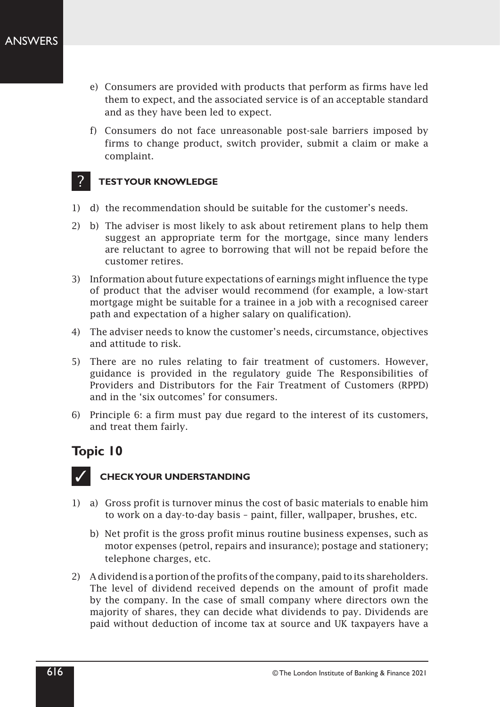- e) Consumers are provided with products that perform as firms have led them to expect, and the associated service is of an acceptable standard and as they have been led to expect.
- f) Consumers do not face unreasonable post-sale barriers imposed by firms to change product, switch provider, submit a claim or make a complaint.

#### **TEST YOUR KNOWLEDGE** ?

- 1) d) the recommendation should be suitable for the customer's needs.
- 2) b) The adviser is most likely to ask about retirement plans to help them suggest an appropriate term for the mortgage, since many lenders are reluctant to agree to borrowing that will not be repaid before the customer retires.
- 3) Information about future expectations of earnings might influence the type of product that the adviser would recommend (for example, a low‑start mortgage might be suitable for a trainee in a job with a recognised career path and expectation of a higher salary on qualification).
- 4) The adviser needs to know the customer's needs, circumstance, objectives and attitude to risk.
- 5) There are no rules relating to fair treatment of customers. However, guidance is provided in the regulatory guide The Responsibilities of Providers and Distributors for the Fair Treatment of Customers (RPPD) and in the 'six outcomes' for consumers.
- 6) Principle 6: a firm must pay due regard to the interest of its customers, and treat them fairly.

# **Topic 10**



- 1) a) Gross profit is turnover minus the cost of basic materials to enable him to work on a day‑to‑day basis – paint, filler, wallpaper, brushes, etc.
	- b) Net profit is the gross profit minus routine business expenses, such as motor expenses (petrol, repairs and insurance); postage and stationery; telephone charges, etc.
- 2) A dividend is a portion of the profits of the company, paid to its shareholders. The level of dividend received depends on the amount of profit made by the company. In the case of small company where directors own the majority of shares, they can decide what dividends to pay. Dividends are paid without deduction of income tax at source and UK taxpayers have a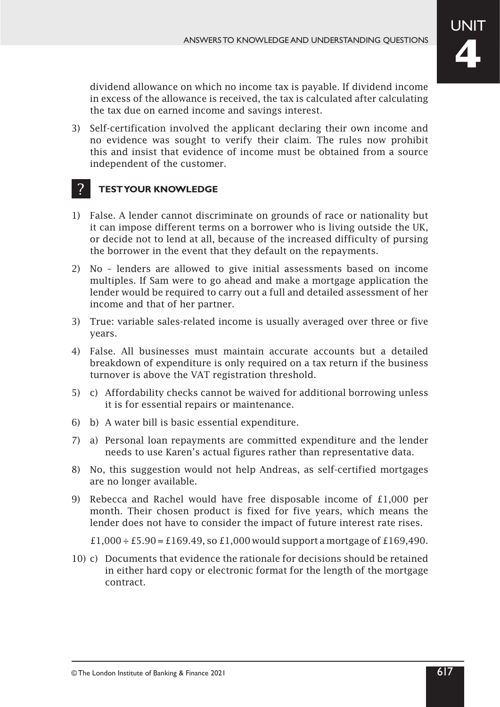dividend allowance on which no income tax is payable. If dividend income in excess of the allowance is received, the tax is calculated after calculating the tax due on earned income and savings interest.

3) Self-certification involved the applicant declaring their own income and no evidence was sought to verify their claim. The rules now prohibit this and insist that evidence of income must be obtained from a source independent of the customer.

#### **TEST YOUR KNOWLEDGE** ?

- 1) False. A lender cannot discriminate on grounds of race or nationality but it can impose different terms on a borrower who is living outside the UK, or decide not to lend at all, because of the increased difficulty of pursing the borrower in the event that they default on the repayments.
- 2) No lenders are allowed to give initial assessments based on income multiples. If Sam were to go ahead and make a mortgage application the lender would be required to carry out a full and detailed assessment of her income and that of her partner.
- 3) True: variable sales-related income is usually averaged over three or five years.
- 4) False. All businesses must maintain accurate accounts but a detailed breakdown of expenditure is only required on a tax return if the business turnover is above the VAT registration threshold.
- 5) c) Affordability checks cannot be waived for additional borrowing unless it is for essential repairs or maintenance.
- 6) b) A water bill is basic essential expenditure.
- 7) a) Personal loan repayments are committed expenditure and the lender needs to use Karen's actual figures rather than representative data.
- 8) No, this suggestion would not help Andreas, as self-certified mortgages are no longer available.
- 9) Rebecca and Rachel would have free disposable income of £1,000 per month. Their chosen product is fixed for five years, which means the lender does not have to consider the impact of future interest rate rises.

£1,000  $\div$  £5.90 = £169.49, so £1,000 would support a mortgage of £169,490.

10) c) Documents that evidence the rationale for decisions should be retained in either hard copy or electronic format for the length of the mortgage contract.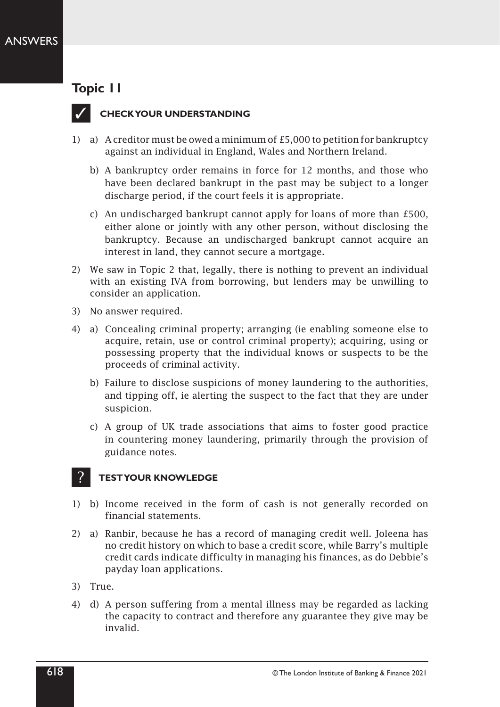

### **CHECK YOUR UNDERSTANDING**

- 1) a) A creditor must be owed a minimum of £5,000 to petition for bankruptcy against an individual in England, Wales and Northern Ireland.
	- b) A bankruptcy order remains in force for 12 months, and those who have been declared bankrupt in the past may be subject to a longer discharge period, if the court feels it is appropriate.
	- c) An undischarged bankrupt cannot apply for loans of more than £500, either alone or jointly with any other person, without disclosing the bankruptcy. Because an undischarged bankrupt cannot acquire an interest in land, they cannot secure a mortgage.
- 2) We saw in Topic 2 that, legally, there is nothing to prevent an individual with an existing IVA from borrowing, but lenders may be unwilling to consider an application.
- 3) No answer required.
- 4) a) Concealing criminal property; arranging (ie enabling someone else to acquire, retain, use or control criminal property); acquiring, using or possessing property that the individual knows or suspects to be the proceeds of criminal activity.
	- b) Failure to disclose suspicions of money laundering to the authorities, and tipping off, ie alerting the suspect to the fact that they are under suspicion.
	- c) A group of UK trade associations that aims to foster good practice in countering money laundering, primarily through the provision of guidance notes.

- 1) b) Income received in the form of cash is not generally recorded on financial statements.
- 2) a) Ranbir, because he has a record of managing credit well. Joleena has no credit history on which to base a credit score, while Barry's multiple credit cards indicate difficulty in managing his finances, as do Debbie's payday loan applications.
- 3) True.
- 4) d) A person suffering from a mental illness may be regarded as lacking the capacity to contract and therefore any guarantee they give may be invalid.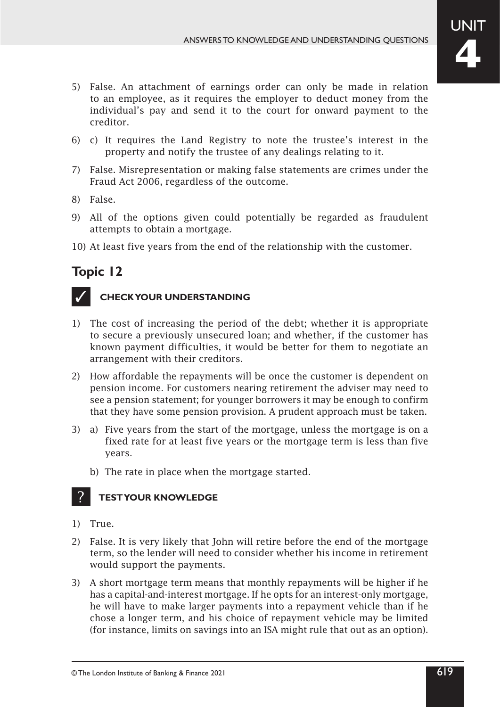- 5) False. An attachment of earnings order can only be made in relation to an employee, as it requires the employer to deduct money from the individual's pay and send it to the court for onward payment to the creditor.
- 6) c) It requires the Land Registry to note the trustee's interest in the property and notify the trustee of any dealings relating to it.
- 7) False. Misrepresentation or making false statements are crimes under the Fraud Act 2006, regardless of the outcome.
- 8) False.
- 9) All of the options given could potentially be regarded as fraudulent attempts to obtain a mortgage.
- 10) At least five years from the end of the relationship with the customer.



### **CHECK YOUR UNDERSTANDING**

- 1) The cost of increasing the period of the debt; whether it is appropriate to secure a previously unsecured loan; and whether, if the customer has known payment difficulties, it would be better for them to negotiate an arrangement with their creditors.
- 2) How affordable the repayments will be once the customer is dependent on pension income. For customers nearing retirement the adviser may need to see a pension statement; for younger borrowers it may be enough to confirm that they have some pension provision. A prudent approach must be taken.
- 3) a) Five years from the start of the mortgage, unless the mortgage is on a fixed rate for at least five years or the mortgage term is less than five years.
	- b) The rate in place when the mortgage started.

- 1) True.
- 2) False. It is very likely that John will retire before the end of the mortgage term, so the lender will need to consider whether his income in retirement would support the payments.
- 3) A short mortgage term means that monthly repayments will be higher if he has a capital-and-interest mortgage. If he opts for an interest-only mortgage, he will have to make larger payments into a repayment vehicle than if he chose a longer term, and his choice of repayment vehicle may be limited (for instance, limits on savings into an ISA might rule that out as an option).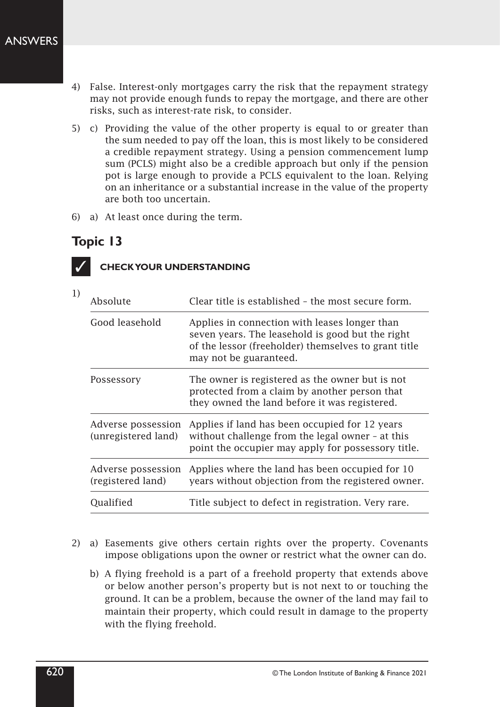- 4) False. Interest-only mortgages carry the risk that the repayment strategy may not provide enough funds to repay the mortgage, and there are other risks, such as interest‑rate risk, to consider.
- 5) c) Providing the value of the other property is equal to or greater than the sum needed to pay off the loan, this is most likely to be considered a credible repayment strategy. Using a pension commencement lump sum (PCLS) might also be a credible approach but only if the pension pot is large enough to provide a PCLS equivalent to the loan. Relying on an inheritance or a substantial increase in the value of the property are both too uncertain.
- 6) a) At least once during the term.



1)

| Absolute                                  | Clear title is established - the most secure form.                                                                                                                                  |
|-------------------------------------------|-------------------------------------------------------------------------------------------------------------------------------------------------------------------------------------|
| Good leasehold                            | Applies in connection with leases longer than<br>seven years. The leasehold is good but the right<br>of the lessor (freeholder) themselves to grant title<br>may not be guaranteed. |
| Possessory                                | The owner is registered as the owner but is not<br>protected from a claim by another person that<br>they owned the land before it was registered.                                   |
| Adverse possession<br>(unregistered land) | Applies if land has been occupied for 12 years<br>without challenge from the legal owner - at this<br>point the occupier may apply for possessory title.                            |
| Adverse possession<br>(registered land)   | Applies where the land has been occupied for 10<br>years without objection from the registered owner.                                                                               |
| Qualified                                 | Title subject to defect in registration. Very rare.                                                                                                                                 |

- 2) a) Easements give others certain rights over the property. Covenants impose obligations upon the owner or restrict what the owner can do.
	- b) A flying freehold is a part of a freehold property that extends above or below another person's property but is not next to or touching the ground. It can be a problem, because the owner of the land may fail to maintain their property, which could result in damage to the property with the flying freehold.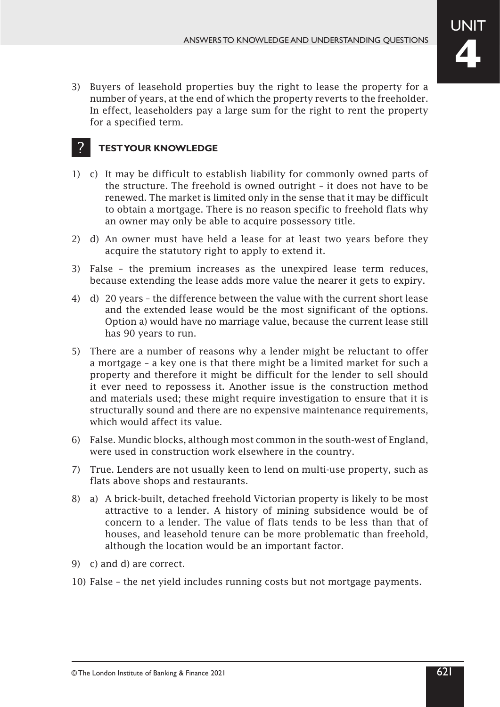3) Buyers of leasehold properties buy the right to lease the property for a number of years, at the end of which the property reverts to the freeholder. In effect, leaseholders pay a large sum for the right to rent the property for a specified term.

- 1) c) It may be difficult to establish liability for commonly owned parts of the structure. The freehold is owned outright – it does not have to be renewed. The market is limited only in the sense that it may be difficult to obtain a mortgage. There is no reason specific to freehold flats why an owner may only be able to acquire possessory title.
- 2) d) An owner must have held a lease for at least two years before they acquire the statutory right to apply to extend it.
- 3) False the premium increases as the unexpired lease term reduces, because extending the lease adds more value the nearer it gets to expiry.
- 4) d) 20 years the difference between the value with the current short lease and the extended lease would be the most significant of the options. Option a) would have no marriage value, because the current lease still has 90 years to run.
- 5) There are a number of reasons why a lender might be reluctant to offer a mortgage – a key one is that there might be a limited market for such a property and therefore it might be difficult for the lender to sell should it ever need to repossess it. Another issue is the construction method and materials used; these might require investigation to ensure that it is structurally sound and there are no expensive maintenance requirements, which would affect its value.
- 6) False. Mundic blocks, although most common in the south-west of England, were used in construction work elsewhere in the country.
- 7) True. Lenders are not usually keen to lend on multi-use property, such as flats above shops and restaurants.
- 8) a) A brick‑built, detached freehold Victorian property is likely to be most attractive to a lender. A history of mining subsidence would be of concern to a lender. The value of flats tends to be less than that of houses, and leasehold tenure can be more problematic than freehold, although the location would be an important factor.
- 9) c) and d) are correct.
- 10) False the net yield includes running costs but not mortgage payments.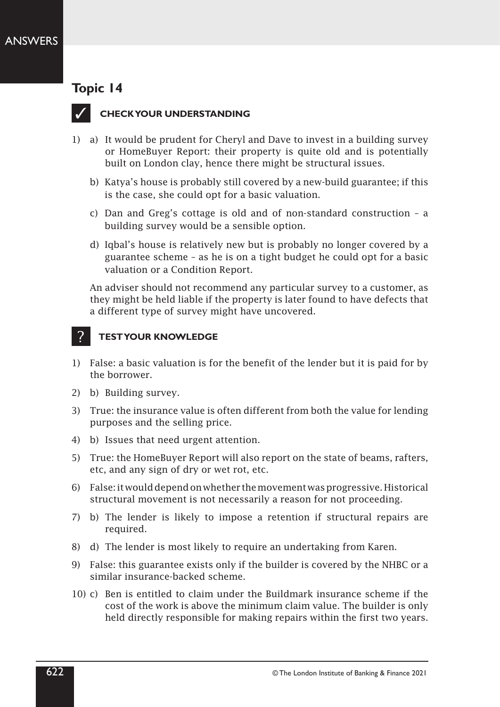

### **CHECK YOUR UNDERSTANDING**

- 1) a) It would be prudent for Cheryl and Dave to invest in a building survey or HomeBuyer Report: their property is quite old and is potentially built on London clay, hence there might be structural issues.
	- b) Katya's house is probably still covered by a new‑build guarantee; if this is the case, she could opt for a basic valuation.
	- c) Dan and Greg's cottage is old and of non‑standard construction a building survey would be a sensible option.
	- d) Iqbal's house is relatively new but is probably no longer covered by a guarantee scheme – as he is on a tight budget he could opt for a basic valuation or a Condition Report.

An adviser should not recommend any particular survey to a customer, as they might be held liable if the property is later found to have defects that a different type of survey might have uncovered.

- 1) False: a basic valuation is for the benefit of the lender but it is paid for by the borrower.
- 2) b) Building survey.
- 3) True: the insurance value is often different from both the value for lending purposes and the selling price.
- 4) b) Issues that need urgent attention.
- 5) True: the HomeBuyer Report will also report on the state of beams, rafters, etc, and any sign of dry or wet rot, etc.
- 6) False: it would depend on whether the movement was progressive. Historical structural movement is not necessarily a reason for not proceeding.
- 7) b) The lender is likely to impose a retention if structural repairs are required.
- 8) d) The lender is most likely to require an undertaking from Karen.
- 9) False: this guarantee exists only if the builder is covered by the NHBC or a similar insurance-backed scheme.
- 10) c) Ben is entitled to claim under the Buildmark insurance scheme if the cost of the work is above the minimum claim value. The builder is only held directly responsible for making repairs within the first two years.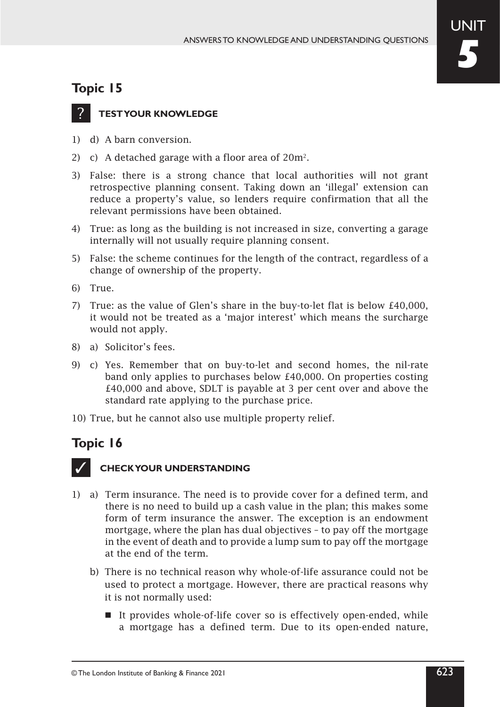

### **TEST YOUR KNOWLEDGE**

- 1) d) A barn conversion.
- 2) c) A detached garage with a floor area of 20m<sup>2</sup>.
- 3) False: there is a strong chance that local authorities will not grant retrospective planning consent. Taking down an 'illegal' extension can reduce a property's value, so lenders require confirmation that all the relevant permissions have been obtained.
- 4) True: as long as the building is not increased in size, converting a garage internally will not usually require planning consent.
- 5) False: the scheme continues for the length of the contract, regardless of a change of ownership of the property.
- 6) True.
- 7) True: as the value of Glen's share in the buy-to-let flat is below  $£40,000$ , it would not be treated as a 'major interest' which means the surcharge would not apply.
- 8) a) Solicitor's fees.
- 9) c) Yes. Remember that on buy‑to‑let and second homes, the nil‑rate band only applies to purchases below £40,000. On properties costing £40,000 and above, SDLT is payable at 3 per cent over and above the standard rate applying to the purchase price.
- 10) True, but he cannot also use multiple property relief.

# **Topic 16**



- 1) a) Term insurance. The need is to provide cover for a defined term, and there is no need to build up a cash value in the plan; this makes some form of term insurance the answer. The exception is an endowment mortgage, where the plan has dual objectives – to pay off the mortgage in the event of death and to provide a lump sum to pay off the mortgage at the end of the term.
	- b) There is no technical reason why whole‑of-life assurance could not be used to protect a mortgage. However, there are practical reasons why it is not normally used:
		- It provides whole-of-life cover so is effectively open-ended, while a mortgage has a defined term. Due to its open-ended nature,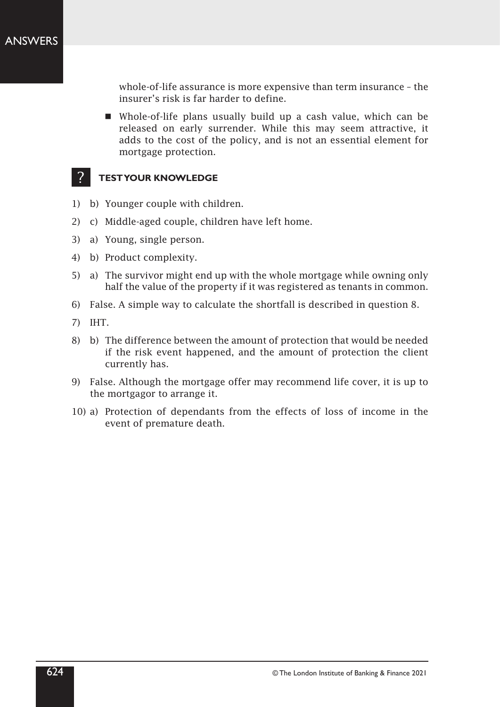whole-of-life assurance is more expensive than term insurance - the insurer's risk is far harder to define.

■ Whole-of-life plans usually build up a cash value, which can be released on early surrender. While this may seem attractive, it adds to the cost of the policy, and is not an essential element for mortgage protection.

- 1) b) Younger couple with children.
- 2) c) Middle-aged couple, children have left home.
- 3) a) Young, single person.
- 4) b) Product complexity.
- 5) a) The survivor might end up with the whole mortgage while owning only half the value of the property if it was registered as tenants in common.
- 6) False. A simple way to calculate the shortfall is described in question 8.
- 7) IHT.
- 8) b) The difference between the amount of protection that would be needed if the risk event happened, and the amount of protection the client currently has.
- 9) False. Although the mortgage offer may recommend life cover, it is up to the mortgagor to arrange it.
- 10) a) Protection of dependants from the effects of loss of income in the event of premature death.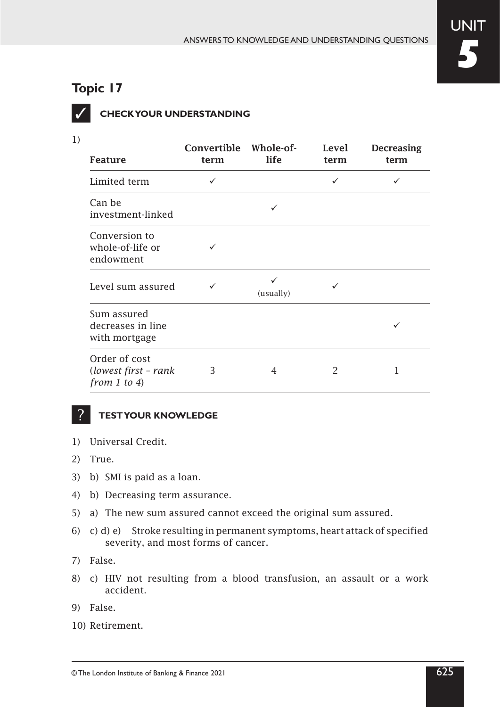

1)

# **CHECK YOUR UNDERSTANDING**

| <b>Feature</b>                                        | Convertible Whole-of-<br>term | life           | Level<br>term | <b>Decreasing</b><br>term |
|-------------------------------------------------------|-------------------------------|----------------|---------------|---------------------------|
| Limited term                                          | ✓                             |                | ✓             |                           |
| Can be<br>investment-linked                           |                               |                |               |                           |
| Conversion to<br>whole-of-life or<br>endowment        |                               |                |               |                           |
| Level sum assured                                     |                               | ✓<br>(usually) |               |                           |
| Sum assured<br>decreases in line<br>with mortgage     |                               |                |               |                           |
| Order of cost<br>(lowest first - rank<br>from 1 to 4) | 3                             | 4              | $\mathcal{P}$ |                           |

- 1) Universal Credit.
- 2) True.
- 3) b) SMI is paid as a loan.
- 4) b) Decreasing term assurance.
- 5) a) The new sum assured cannot exceed the original sum assured.
- 6) c) d) e) Stroke resulting in permanent symptoms, heart attack of specified severity, and most forms of cancer.
- 7) False.
- 8) c) HIV not resulting from a blood transfusion, an assault or a work accident.
- 9) False.
- 10) Retirement.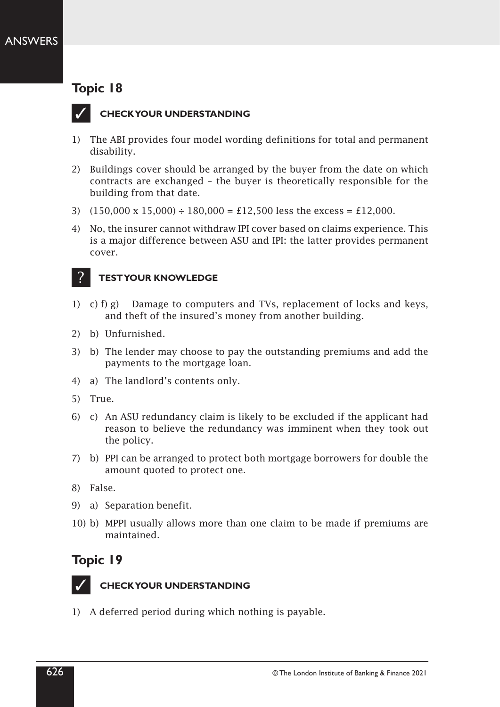

### **CHECK YOUR UNDERSTANDING**

- 1) The ABI provides four model wording definitions for total and permanent disability.
- 2) Buildings cover should be arranged by the buyer from the date on which contracts are exchanged – the buyer is theoretically responsible for the building from that date.
- 3)  $(150,000 \times 15,000) \div 180,000 = \text{\textsterling}12,500$  less the excess =  $\text{\textsterling}12,000$ .
- 4) No, the insurer cannot withdraw IPI cover based on claims experience. This is a major difference between ASU and IPI: the latter provides permanent cover.

#### **TEST YOUR KNOWLEDGE** ?

- 1) c) f) g) Damage to computers and TVs, replacement of locks and keys, and theft of the insured's money from another building.
- 2) b) Unfurnished.
- 3) b) The lender may choose to pay the outstanding premiums and add the payments to the mortgage loan.
- 4) a) The landlord's contents only.
- 5) True.
- 6) c) An ASU redundancy claim is likely to be excluded if the applicant had reason to believe the redundancy was imminent when they took out the policy.
- 7) b) PPI can be arranged to protect both mortgage borrowers for double the amount quoted to protect one.
- 8) False.
- 9) a) Separation benefit.
- 10) b) MPPI usually allows more than one claim to be made if premiums are maintained.

## **Topic 19**



### **CHECK YOUR UNDERSTANDING**

1) A deferred period during which nothing is payable.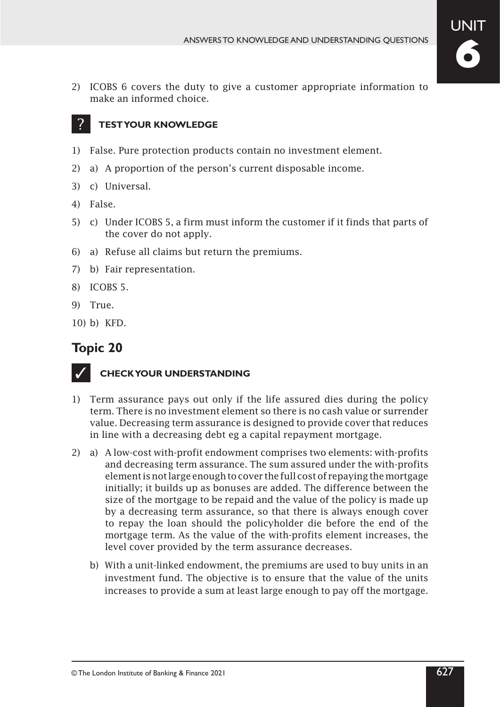

2) ICOBS 6 covers the duty to give a customer appropriate information to make an informed choice.

#### **TEST YOUR KNOWLEDGE** ?

- 1) False. Pure protection products contain no investment element.
- 2) a) A proportion of the person's current disposable income.
- 3) c) Universal.
- 4) False.
- 5) c) Under ICOBS 5, a firm must inform the customer if it finds that parts of the cover do not apply.
- 6) a) Refuse all claims but return the premiums.
- 7) b) Fair representation.
- 8) ICOBS 5.
- 9) True.
- 10) b) KFD.

# **Topic 20**



- 1) Term assurance pays out only if the life assured dies during the policy term. There is no investment element so there is no cash value or surrender value. Decreasing term assurance is designed to provide cover that reduces in line with a decreasing debt eg a capital repayment mortgage.
- 2) a) A low-cost with-profit endowment comprises two elements: with-profits and decreasing term assurance. The sum assured under the with-profits element is not large enough to cover the full cost of repaying the mortgage initially; it builds up as bonuses are added. The difference between the size of the mortgage to be repaid and the value of the policy is made up by a decreasing term assurance, so that there is always enough cover to repay the loan should the policyholder die before the end of the mortgage term. As the value of the with-profits element increases, the level cover provided by the term assurance decreases.
	- b) With a unit‑linked endowment, the premiums are used to buy units in an investment fund. The objective is to ensure that the value of the units increases to provide a sum at least large enough to pay off the mortgage.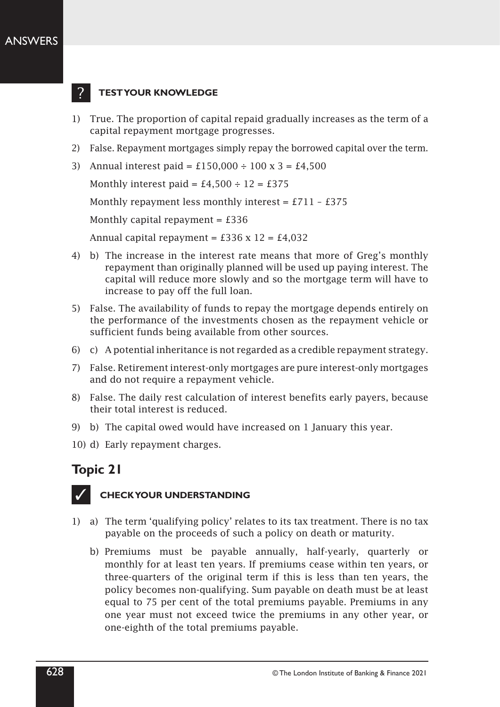### ANSWERS



### **TEST YOUR KNOWLEDGE**

- 1) True. The proportion of capital repaid gradually increases as the term of a capital repayment mortgage progresses.
- 2) False. Repayment mortgages simply repay the borrowed capital over the term.
- 3) Annual interest paid =  $£150,000 \div 100 \text{ x } 3 = £4,500$

Monthly interest paid = £4,500  $\div$  12 = £375

Monthly repayment less monthly interest =  $£711 - £375$ 

Monthly capital repayment =  $£336$ 

Annual capital repayment =  $£336 \times 12 = £4,032$ 

- 4) b) The increase in the interest rate means that more of Greg's monthly repayment than originally planned will be used up paying interest. The capital will reduce more slowly and so the mortgage term will have to increase to pay off the full loan.
- 5) False. The availability of funds to repay the mortgage depends entirely on the performance of the investments chosen as the repayment vehicle or sufficient funds being available from other sources.
- 6) c) A potential inheritance is not regarded as a credible repayment strategy.
- 7) False. Retirement interest-only mortgages are pure interest-only mortgages and do not require a repayment vehicle.
- 8) False. The daily rest calculation of interest benefits early payers, because their total interest is reduced.
- 9) b) The capital owed would have increased on 1 January this year.
- 10) d) Early repayment charges.

# **Topic 21**



- 1) a) The term 'qualifying policy' relates to its tax treatment. There is no tax payable on the proceeds of such a policy on death or maturity.
	- b) Premiums must be payable annually, half-yearly, quarterly or monthly for at least ten years. If premiums cease within ten years, or three‑quarters of the original term if this is less than ten years, the policy becomes non‑qualifying. Sum payable on death must be at least equal to 75 per cent of the total premiums payable. Premiums in any one year must not exceed twice the premiums in any other year, or one‑eighth of the total premiums payable.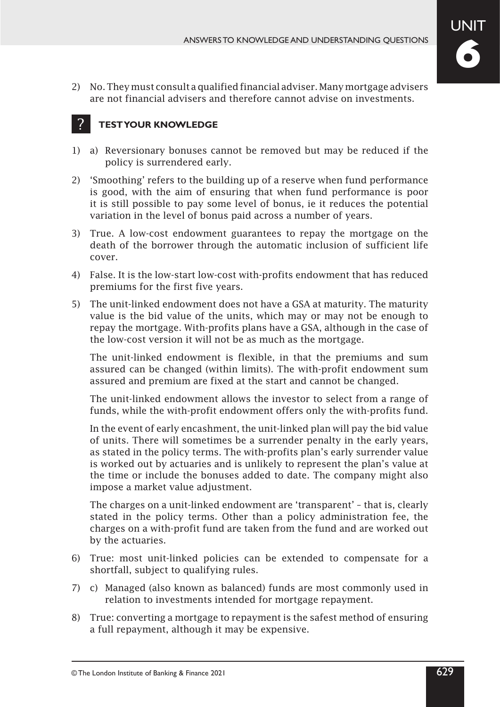2) No. They must consult a qualified financial adviser. Many mortgage advisers are not financial advisers and therefore cannot advise on investments.

#### **TEST YOUR KNOWLEDGE** ?

- 1) a) Reversionary bonuses cannot be removed but may be reduced if the policy is surrendered early.
- 2) 'Smoothing' refers to the building up of a reserve when fund performance is good, with the aim of ensuring that when fund performance is poor it is still possible to pay some level of bonus, ie it reduces the potential variation in the level of bonus paid across a number of years.
- 3) True. A low‑cost endowment guarantees to repay the mortgage on the death of the borrower through the automatic inclusion of sufficient life cover.
- 4) False. It is the low‑start low‑cost with‑profits endowment that has reduced premiums for the first five years.
- 5) The unit-linked endowment does not have a GSA at maturity. The maturity value is the bid value of the units, which may or may not be enough to repay the mortgage. With‑profits plans have a GSA, although in the case of the low‑cost version it will not be as much as the mortgage.

The unit‑linked endowment is flexible, in that the premiums and sum assured can be changed (within limits). The with-profit endowment sum assured and premium are fixed at the start and cannot be changed.

The unit-linked endowment allows the investor to select from a range of funds, while the with-profit endowment offers only the with-profits fund.

In the event of early encashment, the unit‑linked plan will pay the bid value of units. There will sometimes be a surrender penalty in the early years, as stated in the policy terms. The with-profits plan's early surrender value is worked out by actuaries and is unlikely to represent the plan's value at the time or include the bonuses added to date. The company might also impose a market value adjustment.

The charges on a unit-linked endowment are 'transparent' - that is, clearly stated in the policy terms. Other than a policy administration fee, the charges on a with‑profit fund are taken from the fund and are worked out by the actuaries.

- 6) True: most unit‑linked policies can be extended to compensate for a shortfall, subject to qualifying rules.
- 7) c) Managed (also known as balanced) funds are most commonly used in relation to investments intended for mortgage repayment.
- 8) True: converting a mortgage to repayment is the safest method of ensuring a full repayment, although it may be expensive.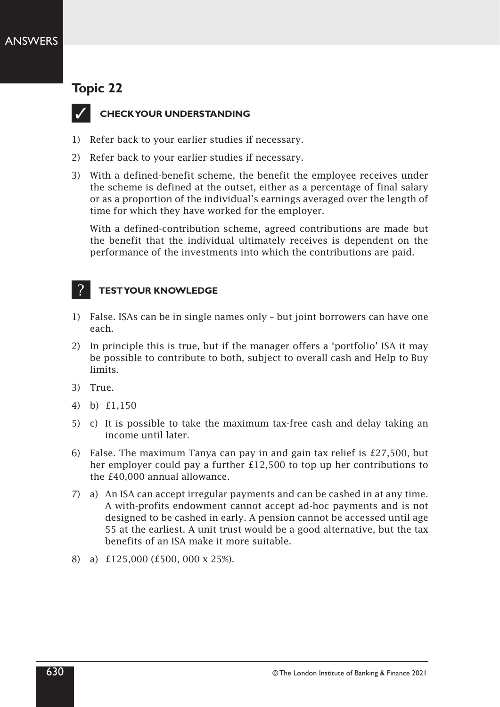### ANSWERS

# **Topic 22**



### **CHECK YOUR UNDERSTANDING**

- 1) Refer back to your earlier studies if necessary.
- 2) Refer back to your earlier studies if necessary.
- 3) With a defined-benefit scheme, the benefit the employee receives under the scheme is defined at the outset, either as a percentage of final salary or as a proportion of the individual's earnings averaged over the length of time for which they have worked for the employer.

With a defined-contribution scheme, agreed contributions are made but the benefit that the individual ultimately receives is dependent on the performance of the investments into which the contributions are paid.

### **TEST YOUR KNOWLEDGE**

- 1) False. ISAs can be in single names only but joint borrowers can have one each.
- 2) In principle this is true, but if the manager offers a 'portfolio' ISA it may be possible to contribute to both, subject to overall cash and Help to Buy limits.
- 3) True.

?

- 4) b) £1,150
- 5) c) It is possible to take the maximum tax-free cash and delay taking an income until later.
- 6) False. The maximum Tanya can pay in and gain tax relief is £27,500, but her employer could pay a further £12,500 to top up her contributions to the £40,000 annual allowance.
- 7) a) An ISA can accept irregular payments and can be cashed in at any time. A with‑profits endowment cannot accept ad‑hoc payments and is not designed to be cashed in early. A pension cannot be accessed until age 55 at the earliest. A unit trust would be a good alternative, but the tax benefits of an ISA make it more suitable.
- 8) a) £125,000 (£500, 000 x 25%).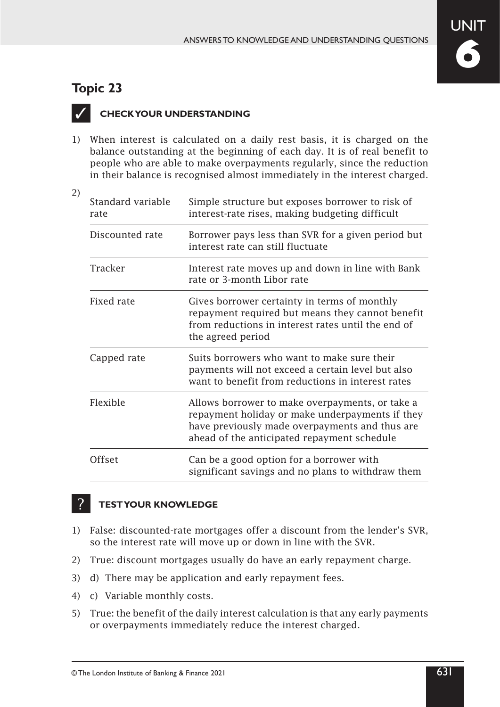# **UNIT 6**

# **Topic 23**

2)

?

 $\checkmark$ 

# **CHECK YOUR UNDERSTANDING**

1) When interest is calculated on a daily rest basis, it is charged on the balance outstanding at the beginning of each day. It is of real benefit to people who are able to make overpayments regularly, since the reduction in their balance is recognised almost immediately in the interest charged.

| Standard variable<br>rate | Simple structure but exposes borrower to risk of<br>interest-rate rises, making budgeting difficult                                                                                                 |
|---------------------------|-----------------------------------------------------------------------------------------------------------------------------------------------------------------------------------------------------|
| Discounted rate           | Borrower pays less than SVR for a given period but<br>interest rate can still fluctuate                                                                                                             |
| Tracker                   | Interest rate moves up and down in line with Bank<br>rate or 3-month Libor rate                                                                                                                     |
| Fixed rate                | Gives borrower certainty in terms of monthly<br>repayment required but means they cannot benefit<br>from reductions in interest rates until the end of<br>the agreed period                         |
| Capped rate               | Suits borrowers who want to make sure their<br>payments will not exceed a certain level but also<br>want to benefit from reductions in interest rates                                               |
| Flexible                  | Allows borrower to make overpayments, or take a<br>repayment holiday or make underpayments if they<br>have previously made overpayments and thus are<br>ahead of the anticipated repayment schedule |
| Offset                    | Can be a good option for a borrower with<br>significant savings and no plans to withdraw them                                                                                                       |

- 1) False: discounted-rate mortgages offer a discount from the lender's SVR, so the interest rate will move up or down in line with the SVR.
- 2) True: discount mortgages usually do have an early repayment charge.
- 3) d) There may be application and early repayment fees.
- 4) c) Variable monthly costs.
- 5) True: the benefit of the daily interest calculation is that any early payments or overpayments immediately reduce the interest charged.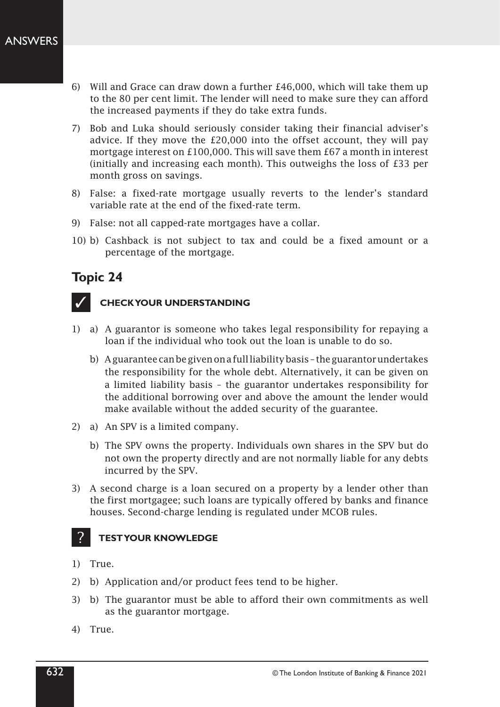- 6) Will and Grace can draw down a further £46,000, which will take them up to the 80 per cent limit. The lender will need to make sure they can afford the increased payments if they do take extra funds.
- 7) Bob and Luka should seriously consider taking their financial adviser's advice. If they move the £20,000 into the offset account, they will pay mortgage interest on £100,000. This will save them £67 a month in interest (initially and increasing each month). This outweighs the loss of £33 per month gross on savings.
- 8) False: a fixed-rate mortgage usually reverts to the lender's standard variable rate at the end of the fixed-rate term.
- 9) False: not all capped-rate mortgages have a collar.
- 10) b) Cashback is not subject to tax and could be a fixed amount or a percentage of the mortgage.

# $\checkmark$

### **CHECK YOUR UNDERSTANDING**

- 1) a) A guarantor is someone who takes legal responsibility for repaying a loan if the individual who took out the loan is unable to do so.
	- b) A guarantee can be given on a full liability basis the guarantor undertakes the responsibility for the whole debt. Alternatively, it can be given on a limited liability basis – the guarantor undertakes responsibility for the additional borrowing over and above the amount the lender would make available without the added security of the guarantee.
- 2) a) An SPV is a limited company.
	- b) The SPV owns the property. Individuals own shares in the SPV but do not own the property directly and are not normally liable for any debts incurred by the SPV.
- 3) A second charge is a loan secured on a property by a lender other than the first mortgagee; such loans are typically offered by banks and finance houses. Second-charge lending is regulated under MCOB rules.

- 1) True.
- 2) b) Application and/or product fees tend to be higher.
- 3) b) The guarantor must be able to afford their own commitments as well as the guarantor mortgage.
- 4) True.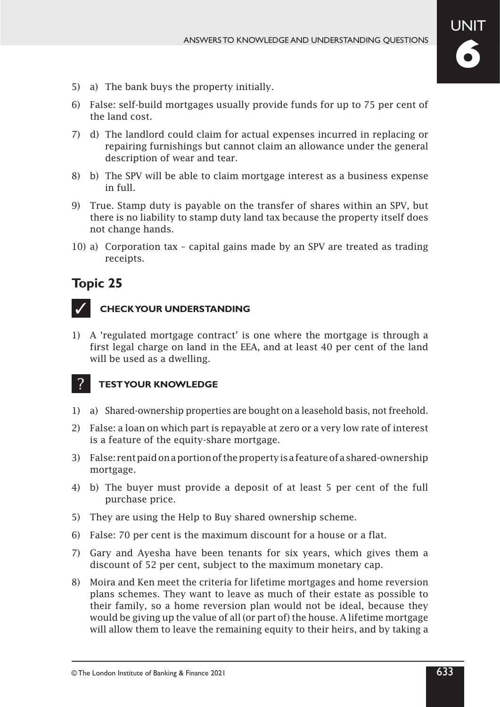- 5) a) The bank buys the property initially.
- 6) False: self‑build mortgages usually provide funds for up to 75 per cent of the land cost.
- 7) d) The landlord could claim for actual expenses incurred in replacing or repairing furnishings but cannot claim an allowance under the general description of wear and tear.
- 8) b) The SPV will be able to claim mortgage interest as a business expense in full.
- 9) True. Stamp duty is payable on the transfer of shares within an SPV, but there is no liability to stamp duty land tax because the property itself does not change hands.
- 10) a) Corporation tax capital gains made by an SPV are treated as trading receipts.



?

### **CHECK YOUR UNDERSTANDING**

1) A 'regulated mortgage contract' is one where the mortgage is through a first legal charge on land in the EEA, and at least 40 per cent of the land will be used as a dwelling.

- 1) a) Shared‑ownership properties are bought on a leasehold basis, not freehold.
- 2) False: a loan on which part is repayable at zero or a very low rate of interest is a feature of the equity-share mortgage.
- 3) False: rent paid on a portion of the property is a feature of a shared-ownership mortgage.
- 4) b) The buyer must provide a deposit of at least 5 per cent of the full purchase price.
- 5) They are using the Help to Buy shared ownership scheme.
- 6) False: 70 per cent is the maximum discount for a house or a flat.
- 7) Gary and Ayesha have been tenants for six years, which gives them a discount of 52 per cent, subject to the maximum monetary cap.
- 8) Moira and Ken meet the criteria for lifetime mortgages and home reversion plans schemes. They want to leave as much of their estate as possible to their family, so a home reversion plan would not be ideal, because they would be giving up the value of all (or part of) the house. A lifetime mortgage will allow them to leave the remaining equity to their heirs, and by taking a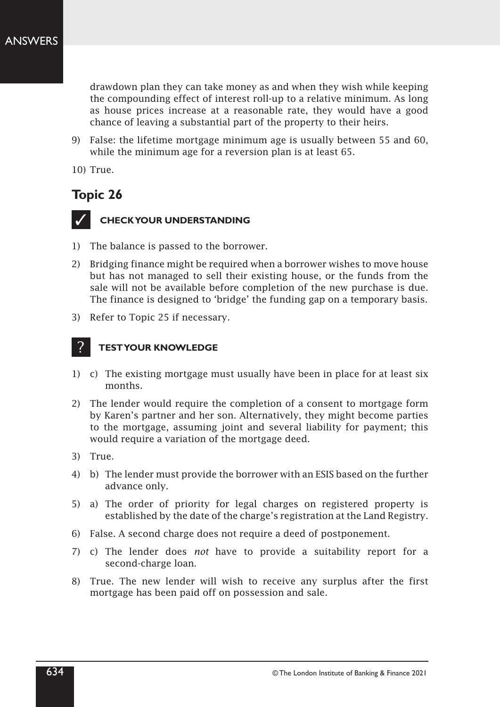drawdown plan they can take money as and when they wish while keeping the compounding effect of interest roll‑up to a relative minimum. As long as house prices increase at a reasonable rate, they would have a good chance of leaving a substantial part of the property to their heirs.

9) False: the lifetime mortgage minimum age is usually between 55 and 60, while the minimum age for a reversion plan is at least 65.

10) True.

# **Topic 26**



### **CHECK YOUR UNDERSTANDING**

- 1) The balance is passed to the borrower.
- 2) Bridging finance might be required when a borrower wishes to move house but has not managed to sell their existing house, or the funds from the sale will not be available before completion of the new purchase is due. The finance is designed to 'bridge' the funding gap on a temporary basis.
- 3) Refer to Topic 25 if necessary.

- 1) c) The existing mortgage must usually have been in place for at least six months.
- 2) The lender would require the completion of a consent to mortgage form by Karen's partner and her son. Alternatively, they might become parties to the mortgage, assuming joint and several liability for payment; this would require a variation of the mortgage deed.
- 3) True.
- 4) b) The lender must provide the borrower with an ESIS based on the further advance only.
- 5) a) The order of priority for legal charges on registered property is established by the date of the charge's registration at the Land Registry.
- 6) False. A second charge does not require a deed of postponement.
- 7) c) The lender does *not* have to provide a suitability report for a second-charge loan.
- 8) True. The new lender will wish to receive any surplus after the first mortgage has been paid off on possession and sale.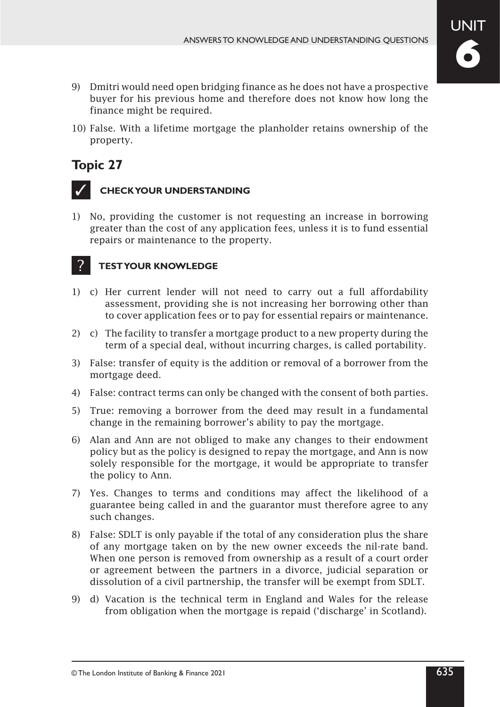

- 9) Dmitri would need open bridging finance as he does not have a prospective buyer for his previous home and therefore does not know how long the finance might be required.
- 10) False. With a lifetime mortgage the planholder retains ownership of the property.



?

### **CHECK YOUR UNDERSTANDING**

1) No, providing the customer is not requesting an increase in borrowing greater than the cost of any application fees, unless it is to fund essential repairs or maintenance to the property.

- 1) c) Her current lender will not need to carry out a full affordability assessment, providing she is not increasing her borrowing other than to cover application fees or to pay for essential repairs or maintenance.
- 2) c) The facility to transfer a mortgage product to a new property during the term of a special deal, without incurring charges, is called portability.
- 3) False: transfer of equity is the addition or removal of a borrower from the mortgage deed.
- 4) False: contract terms can only be changed with the consent of both parties.
- 5) True: removing a borrower from the deed may result in a fundamental change in the remaining borrower's ability to pay the mortgage.
- 6) Alan and Ann are not obliged to make any changes to their endowment policy but as the policy is designed to repay the mortgage, and Ann is now solely responsible for the mortgage, it would be appropriate to transfer the policy to Ann.
- 7) Yes. Changes to terms and conditions may affect the likelihood of a guarantee being called in and the guarantor must therefore agree to any such changes.
- 8) False: SDLT is only payable if the total of any consideration plus the share of any mortgage taken on by the new owner exceeds the nil-rate band. When one person is removed from ownership as a result of a court order or agreement between the partners in a divorce, judicial separation or dissolution of a civil partnership, the transfer will be exempt from SDLT.
- 9) d) Vacation is the technical term in England and Wales for the release from obligation when the mortgage is repaid ('discharge' in Scotland).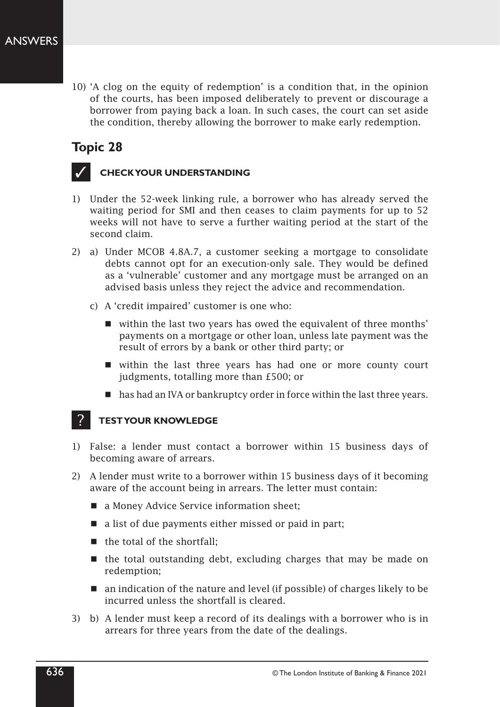10) 'A clog on the equity of redemption' is a condition that, in the opinion of the courts, has been imposed deliberately to prevent or discourage a borrower from paying back a loan. In such cases, the court can set aside the condition, thereby allowing the borrower to make early redemption.

# **Topic 28**



### **CHECK YOUR UNDERSTANDING**

- 1) Under the 52‑week linking rule, a borrower who has already served the waiting period for SMI and then ceases to claim payments for up to 52 weeks will not have to serve a further waiting period at the start of the second claim.
- 2) a) Under MCOB 4.8A.7, a customer seeking a mortgage to consolidate debts cannot opt for an execution‑only sale. They would be defined as a 'vulnerable' customer and any mortgage must be arranged on an advised basis unless they reject the advice and recommendation.
	- c) A 'credit impaired' customer is one who:
		- within the last two years has owed the equivalent of three months' payments on a mortgage or other loan, unless late payment was the result of errors by a bank or other third party; or
		- within the last three years has had one or more county court judgments, totalling more than £500; or
		- has had an IVA or bankruptcy order in force within the last three years.

- 1) False: a lender must contact a borrower within 15 business days of becoming aware of arrears.
- 2) A lender must write to a borrower within 15 business days of it becoming aware of the account being in arrears. The letter must contain:
	- a Money Advice Service information sheet;
	- a list of due payments either missed or paid in part;
	- $\blacksquare$  the total of the shortfall:
	- $\blacksquare$  the total outstanding debt, excluding charges that may be made on redemption;
	- an indication of the nature and level (if possible) of charges likely to be incurred unless the shortfall is cleared.
- 3) b) A lender must keep a record of its dealings with a borrower who is in arrears for three years from the date of the dealings.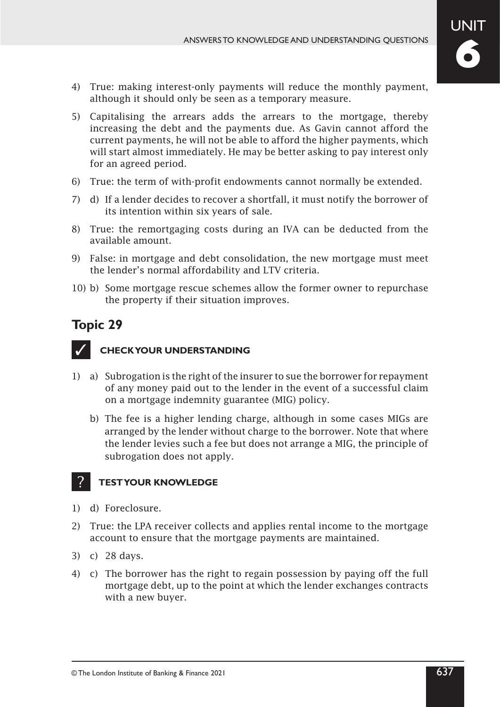- 4) True: making interest-only payments will reduce the monthly payment, although it should only be seen as a temporary measure.
- 5) Capitalising the arrears adds the arrears to the mortgage, thereby increasing the debt and the payments due. As Gavin cannot afford the current payments, he will not be able to afford the higher payments, which will start almost immediately. He may be better asking to pay interest only for an agreed period.
- 6) True: the term of with-profit endowments cannot normally be extended.
- 7) d) If a lender decides to recover a shortfall, it must notify the borrower of its intention within six years of sale.
- 8) True: the remortgaging costs during an IVA can be deducted from the available amount.
- 9) False: in mortgage and debt consolidation, the new mortgage must meet the lender's normal affordability and LTV criteria.
- 10) b) Some mortgage rescue schemes allow the former owner to repurchase the property if their situation improves.



?

## **CHECK YOUR UNDERSTANDING**

- 1) a) Subrogation is the right of the insurer to sue the borrower for repayment of any money paid out to the lender in the event of a successful claim on a mortgage indemnity guarantee (MIG) policy.
	- b) The fee is a higher lending charge, although in some cases MIGs are arranged by the lender without charge to the borrower. Note that where the lender levies such a fee but does not arrange a MIG, the principle of subrogation does not apply.

- 1) d) Foreclosure.
- 2) True: the LPA receiver collects and applies rental income to the mortgage account to ensure that the mortgage payments are maintained.
- 3) c) 28 days.
- 4) c) The borrower has the right to regain possession by paying off the full mortgage debt, up to the point at which the lender exchanges contracts with a new buyer.